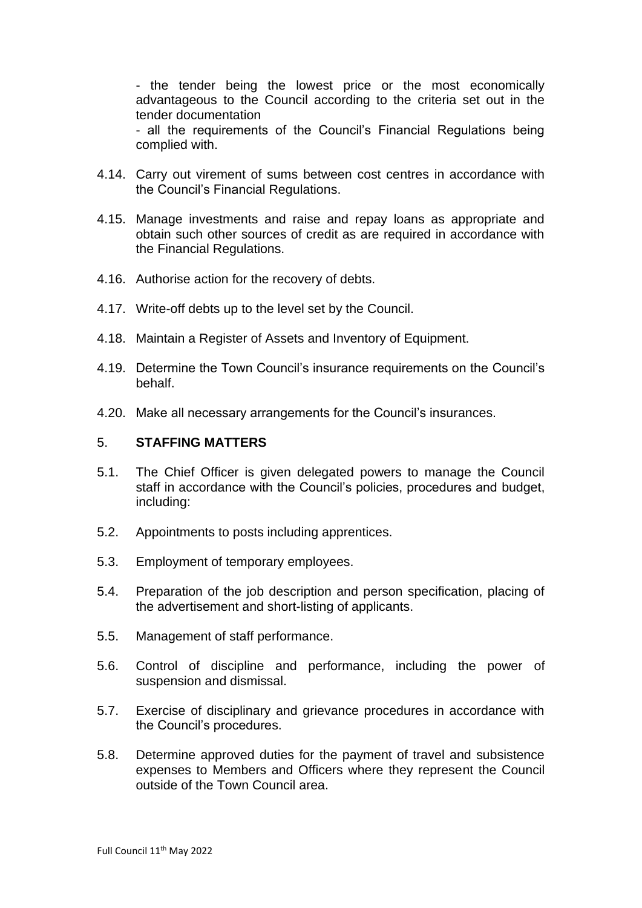- the tender being the lowest price or the most economically advantageous to the Council according to the criteria set out in the tender documentation

- all the requirements of the Council's Financial Regulations being complied with.

- 4.14. Carry out virement of sums between cost centres in accordance with the Council's Financial Regulations.
- 4.15. Manage investments and raise and repay loans as appropriate and obtain such other sources of credit as are required in accordance with the Financial Regulations.
- 4.16. Authorise action for the recovery of debts.
- 4.17. Write-off debts up to the level set by the Council.
- 4.18. Maintain a Register of Assets and Inventory of Equipment.
- 4.19. Determine the Town Council's insurance requirements on the Council's behalf.
- 4.20. Make all necessary arrangements for the Council's insurances.

#### 5. **STAFFING MATTERS**

- 5.1. The Chief Officer is given delegated powers to manage the Council staff in accordance with the Council's policies, procedures and budget, including:
- 5.2. Appointments to posts including apprentices.
- 5.3. Employment of temporary employees.
- 5.4. Preparation of the job description and person specification, placing of the advertisement and short-listing of applicants.
- 5.5. Management of staff performance.
- 5.6. Control of discipline and performance, including the power of suspension and dismissal.
- 5.7. Exercise of disciplinary and grievance procedures in accordance with the Council's procedures.
- 5.8. Determine approved duties for the payment of travel and subsistence expenses to Members and Officers where they represent the Council outside of the Town Council area.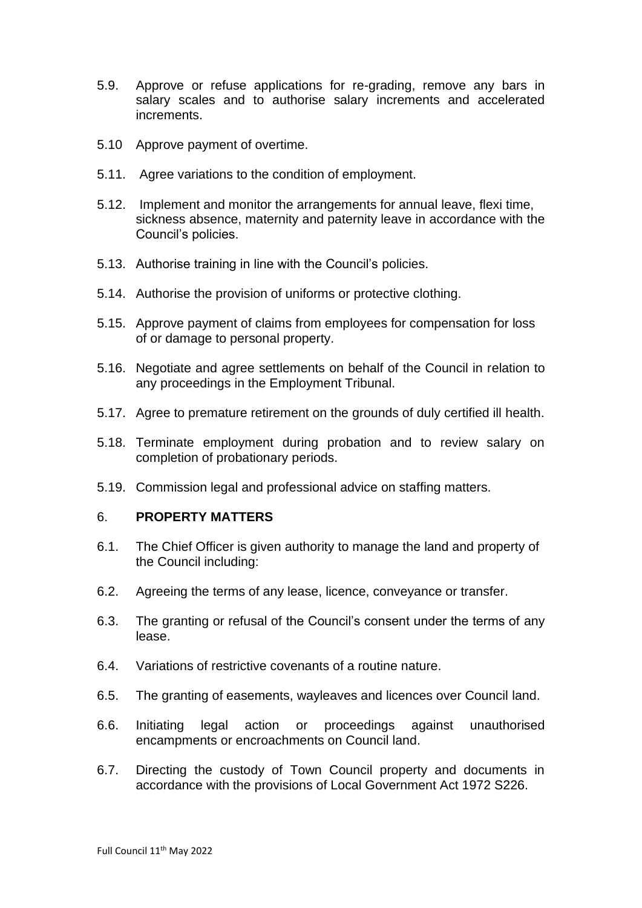- 5.9. Approve or refuse applications for re-grading, remove any bars in salary scales and to authorise salary increments and accelerated increments.
- 5.10 Approve payment of overtime.
- 5.11. Agree variations to the condition of employment.
- 5.12. Implement and monitor the arrangements for annual leave, flexi time, sickness absence, maternity and paternity leave in accordance with the Council's policies.
- 5.13. Authorise training in line with the Council's policies.
- 5.14. Authorise the provision of uniforms or protective clothing.
- 5.15. Approve payment of claims from employees for compensation for loss of or damage to personal property.
- 5.16. Negotiate and agree settlements on behalf of the Council in relation to any proceedings in the Employment Tribunal.
- 5.17. Agree to premature retirement on the grounds of duly certified ill health.
- 5.18. Terminate employment during probation and to review salary on completion of probationary periods.
- 5.19. Commission legal and professional advice on staffing matters.

#### 6. **PROPERTY MATTERS**

- 6.1. The Chief Officer is given authority to manage the land and property of the Council including:
- 6.2. Agreeing the terms of any lease, licence, conveyance or transfer.
- 6.3. The granting or refusal of the Council's consent under the terms of any lease.
- 6.4. Variations of restrictive covenants of a routine nature.
- 6.5. The granting of easements, wayleaves and licences over Council land.
- 6.6. Initiating legal action or proceedings against unauthorised encampments or encroachments on Council land.
- 6.7. Directing the custody of Town Council property and documents in accordance with the provisions of Local Government Act 1972 S226.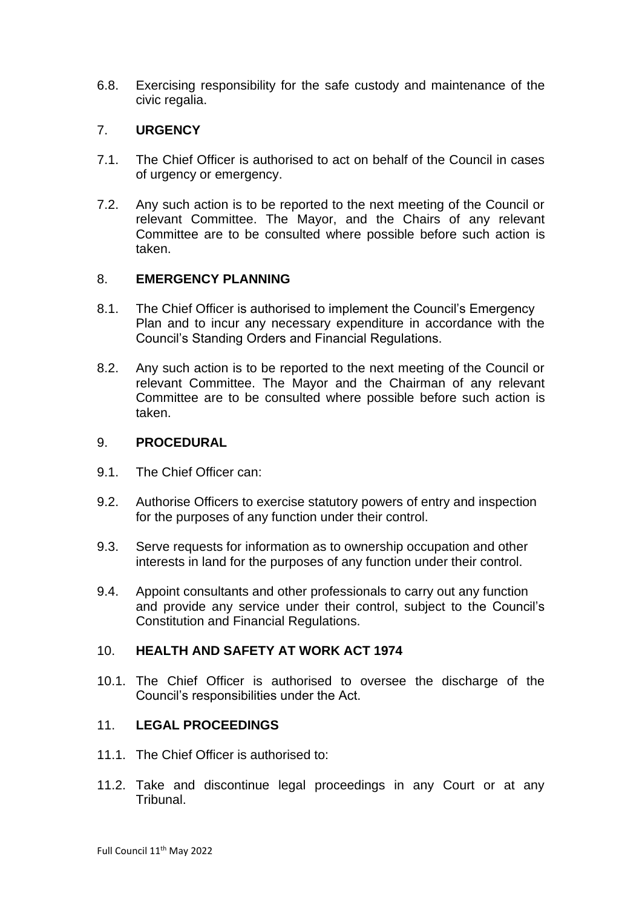6.8. Exercising responsibility for the safe custody and maintenance of the civic regalia.

# 7. **URGENCY**

- 7.1. The Chief Officer is authorised to act on behalf of the Council in cases of urgency or emergency.
- 7.2. Any such action is to be reported to the next meeting of the Council or relevant Committee. The Mayor, and the Chairs of any relevant Committee are to be consulted where possible before such action is taken.

## 8. **EMERGENCY PLANNING**

- 8.1. The Chief Officer is authorised to implement the Council's Emergency Plan and to incur any necessary expenditure in accordance with the Council's Standing Orders and Financial Regulations.
- 8.2. Any such action is to be reported to the next meeting of the Council or relevant Committee. The Mayor and the Chairman of any relevant Committee are to be consulted where possible before such action is taken.

## 9. **PROCEDURAL**

- 9.1. The Chief Officer can:
- 9.2. Authorise Officers to exercise statutory powers of entry and inspection for the purposes of any function under their control.
- 9.3. Serve requests for information as to ownership occupation and other interests in land for the purposes of any function under their control.
- 9.4. Appoint consultants and other professionals to carry out any function and provide any service under their control, subject to the Council's Constitution and Financial Regulations.

## 10. **HEALTH AND SAFETY AT WORK ACT 1974**

10.1. The Chief Officer is authorised to oversee the discharge of the Council's responsibilities under the Act.

## 11. **LEGAL PROCEEDINGS**

- 11.1. The Chief Officer is authorised to:
- 11.2. Take and discontinue legal proceedings in any Court or at any Tribunal.